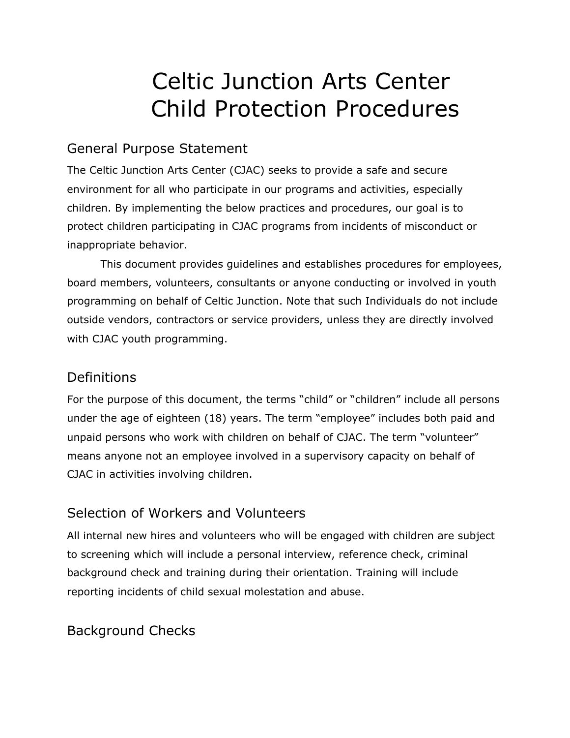# Celtic Junction Arts Center Child Protection Procedures

### General Purpose Statement

The Celtic Junction Arts Center (CJAC) seeks to provide a safe and secure environment for all who participate in our programs and activities, especially children. By implementing the below practices and procedures, our goal is to protect children participating in CJAC programs from incidents of misconduct or inappropriate behavior.

This document provides guidelines and establishes procedures for employees, board members, volunteers, consultants or anyone conducting or involved in youth programming on behalf of Celtic Junction. Note that such Individuals do not include outside vendors, contractors or service providers, unless they are directly involved with CJAC youth programming.

#### **Definitions**

For the purpose of this document, the terms "child" or "children" include all persons under the age of eighteen (18) years. The term "employee" includes both paid and unpaid persons who work with children on behalf of CJAC. The term "volunteer" means anyone not an employee involved in a supervisory capacity on behalf of CJAC in activities involving children.

### Selection of Workers and Volunteers

All internal new hires and volunteers who will be engaged with children are subject to screening which will include a personal interview, reference check, criminal background check and training during their orientation. Training will include reporting incidents of child sexual molestation and abuse.

### Background Checks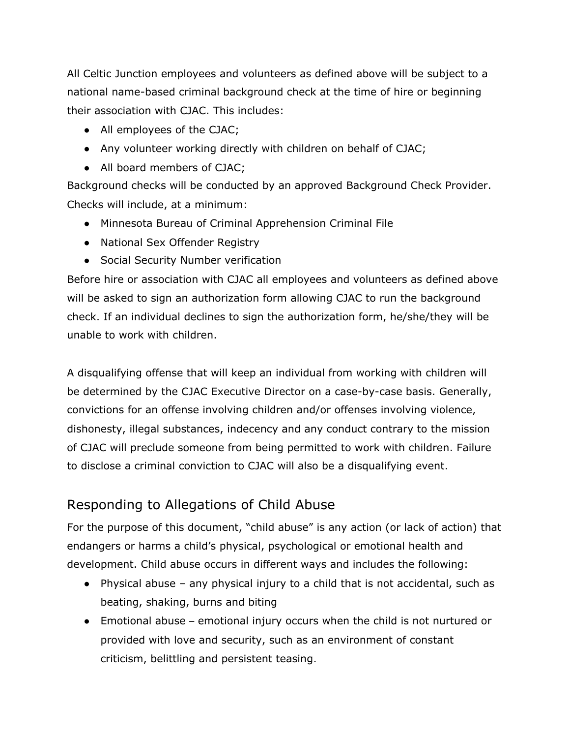All Celtic Junction employees and volunteers as defined above will be subject to a national name-based criminal background check at the time of hire or beginning their association with CJAC. This includes:

- All employees of the CJAC:
- Any volunteer working directly with children on behalf of CJAC;
- All board members of CJAC;

Background checks will be conducted by an approved Background Check Provider. Checks will include, at a minimum:

- Minnesota Bureau of Criminal Apprehension Criminal File
- National Sex Offender Registry
- Social Security Number verification

Before hire or association with CJAC all employees and volunteers as defined above will be asked to sign an authorization form allowing CJAC to run the background check. If an individual declines to sign the authorization form, he/she/they will be unable to work with children.

A disqualifying offense that will keep an individual from working with children will be determined by the CJAC Executive Director on a case-by-case basis. Generally, convictions for an offense involving children and/or offenses involving violence, dishonesty, illegal substances, indecency and any conduct contrary to the mission of CJAC will preclude someone from being permitted to work with children. Failure to disclose a criminal conviction to CJAC will also be a disqualifying event.

## Responding to Allegations of Child Abuse

For the purpose of this document, "child abuse" is any action (or lack of action) that endangers or harms a child's physical, psychological or emotional health and development. Child abuse occurs in different ways and includes the following:

- Physical abuse any physical injury to a child that is not accidental, such as beating, shaking, burns and biting
- Emotional abuse emotional injury occurs when the child is not nurtured or provided with love and security, such as an environment of constant criticism, belittling and persistent teasing.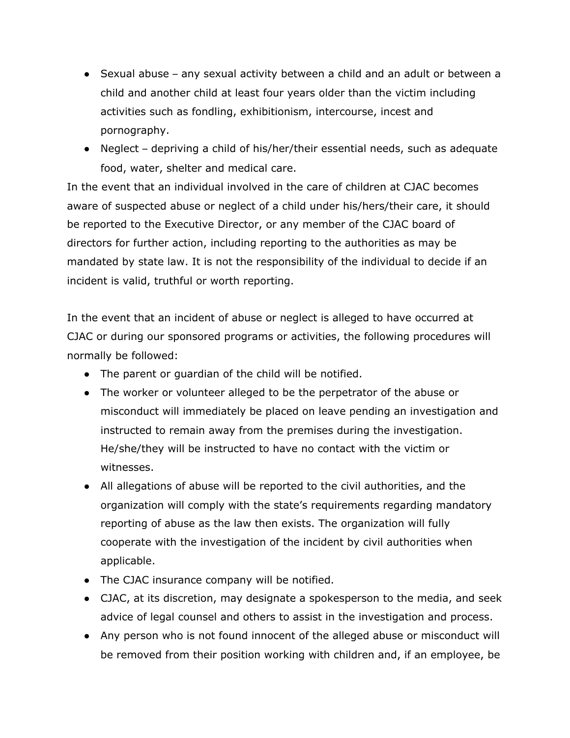- Sexual abuse any sexual activity between a child and an adult or between a child and another child at least four years older than the victim including activities such as fondling, exhibitionism, intercourse, incest and pornography.
- Neglect depriving a child of his/her/their essential needs, such as adequate food, water, shelter and medical care.

In the event that an individual involved in the care of children at CJAC becomes aware of suspected abuse or neglect of a child under his/hers/their care, it should be reported to the Executive Director, or any member of the CJAC board of directors for further action, including reporting to the authorities as may be mandated by state law. It is not the responsibility of the individual to decide if an incident is valid, truthful or worth reporting.

In the event that an incident of abuse or neglect is alleged to have occurred at CJAC or during our sponsored programs or activities, the following procedures will normally be followed:

- The parent or guardian of the child will be notified.
- The worker or volunteer alleged to be the perpetrator of the abuse or misconduct will immediately be placed on leave pending an investigation and instructed to remain away from the premises during the investigation. He/she/they will be instructed to have no contact with the victim or witnesses.
- All allegations of abuse will be reported to the civil authorities, and the organization will comply with the state's requirements regarding mandatory reporting of abuse as the law then exists. The organization will fully cooperate with the investigation of the incident by civil authorities when applicable.
- The CJAC insurance company will be notified.
- CJAC, at its discretion, may designate a spokesperson to the media, and seek advice of legal counsel and others to assist in the investigation and process.
- Any person who is not found innocent of the alleged abuse or misconduct will be removed from their position working with children and, if an employee, be